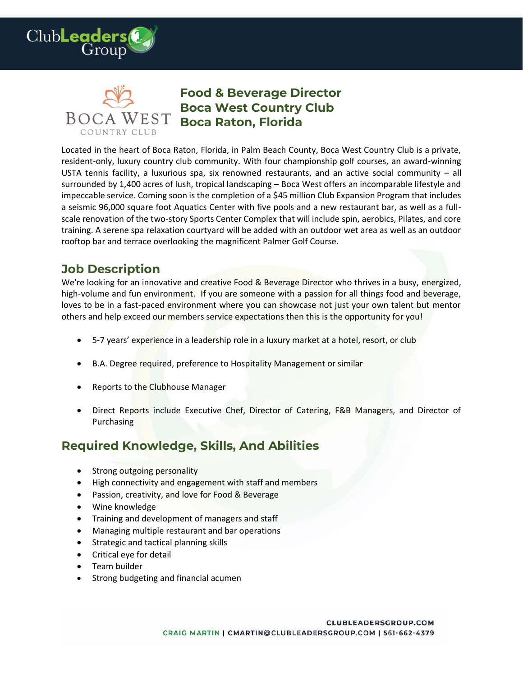



## **Food & Beverage Director Boca West Country Club Boca Raton, Florida**

Located in the heart of Boca Raton, Florida, in Palm Beach County, Boca West Country Club is a private, resident-only, luxury country club community. With four championship golf courses, an award-winning USTA tennis facility, a luxurious spa, six renowned restaurants, and an active social community – all surrounded by 1,400 acres of lush, tropical landscaping – Boca West offers an incomparable lifestyle and impeccable service. Coming soon is the completion of a \$45 million Club Expansion Program that includes a seismic 96,000 square foot Aquatics Center with five pools and a new restaurant bar, as well as a fullscale renovation of the two-story Sports Center Complex that will include spin, aerobics, Pilates, and core training. A serene spa relaxation courtyard will be added with an outdoor wet area as well as an outdoor rooftop bar and terrace overlooking the magnificent Palmer Golf Course.

## **Job Description**

We're looking for an innovative and creative Food & Beverage Director who thrives in a busy, energized, high-volume and fun environment. If you are someone with a passion for all things food and beverage, loves to be in a fast-paced environment where you can showcase not just your own talent but mentor others and help exceed our members service expectations then this is the opportunity for you!

- 5-7 years' experience in a leadership role in a luxury market at a hotel, resort, or club
- B.A. Degree required, preference to Hospitality Management or similar
- Reports to the Clubhouse Manager
- Direct Reports include Executive Chef, Director of Catering, F&B Managers, and Director of Purchasing

## **Required Knowledge, Skills, And Abilities**

- Strong outgoing personality
- High connectivity and engagement with staff and members
- Passion, creativity, and love for Food & Beverage
- Wine knowledge
- Training and development of managers and staff
- Managing multiple restaurant and bar operations
- Strategic and tactical planning skills
- Critical eye for detail
- Team builder
- Strong budgeting and financial acumen